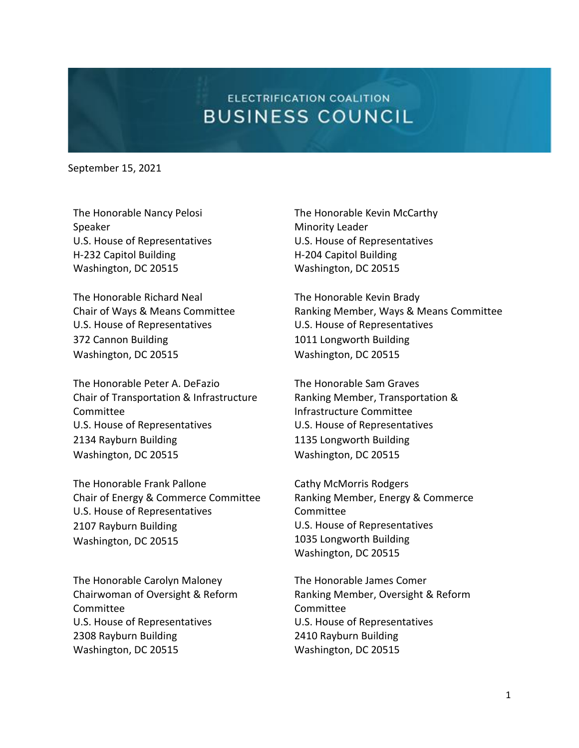## **ELECTRIFICATION COALITION BUSINESS COUNCIL**

September 15, 2021

The Honorable Nancy Pelosi Speaker U.S. House of Representatives H-232 Capitol Building Washington, DC 20515

The Honorable Richard Neal Chair of Ways & Means Committee U.S. House of Representatives 372 Cannon Building Washington, DC 20515

The Honorable Peter A. DeFazio Chair of Transportation & Infrastructure Committee U.S. House of Representatives 2134 Rayburn Building Washington, DC 20515

The Honorable Frank Pallone Chair of Energy & Commerce Committee U.S. House of Representatives 2107 Rayburn Building Washington, DC 20515

The Honorable Carolyn Maloney Chairwoman of Oversight & Reform Committee U.S. House of Representatives 2308 Rayburn Building Washington, DC 20515

The Honorable Kevin McCarthy Minority Leader U.S. House of Representatives H-204 Capitol Building Washington, DC 20515

The Honorable Kevin Brady Ranking Member, Ways & Means Committee U.S. House of Representatives 1011 Longworth Building Washington, DC 20515

The Honorable Sam Graves Ranking Member, Transportation & Infrastructure Committee U.S. House of Representatives 1135 Longworth Building Washington, DC 20515

Cathy McMorris Rodgers Ranking Member, Energy & Commerce Committee U.S. House of Representatives 1035 Longworth Building Washington, DC 20515

The Honorable James Comer Ranking Member, Oversight & Reform Committee U.S. House of Representatives 2410 Rayburn Building Washington, DC 20515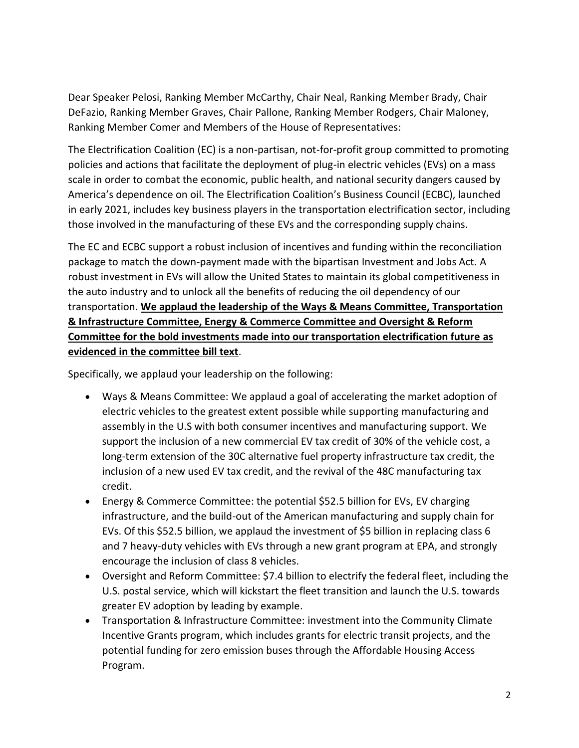Dear Speaker Pelosi, Ranking Member McCarthy, Chair Neal, Ranking Member Brady, Chair DeFazio, Ranking Member Graves, Chair Pallone, Ranking Member Rodgers, Chair Maloney, Ranking Member Comer and Members of the House of Representatives:

The Electrification Coalition (EC) is a non-partisan, not-for-profit group committed to promoting policies and actions that facilitate the deployment of plug-in electric vehicles (EVs) on a mass scale in order to combat the economic, public health, and national security dangers caused by America's dependence on oil. The Electrification Coalition's Business Council (ECBC), launched in early 2021, includes key business players in the transportation electrification sector, including those involved in the manufacturing of these EVs and the corresponding supply chains.

The EC and ECBC support a robust inclusion of incentives and funding within the reconciliation package to match the down-payment made with the bipartisan Investment and Jobs Act. A robust investment in EVs will allow the United States to maintain its global competitiveness in the auto industry and to unlock all the benefits of reducing the oil dependency of our transportation. **We applaud the leadership of the Ways & Means Committee, Transportation & Infrastructure Committee, Energy & Commerce Committee and Oversight & Reform Committee for the bold investments made into our transportation electrification future as evidenced in the committee bill text**.

Specifically, we applaud your leadership on the following:

- Ways & Means Committee: We applaud a goal of accelerating the market adoption of electric vehicles to the greatest extent possible while supporting manufacturing and assembly in the U.S with both consumer incentives and manufacturing support. We support the inclusion of a new commercial EV tax credit of 30% of the vehicle cost, a long-term extension of the 30C alternative fuel property infrastructure tax credit, the inclusion of a new used EV tax credit, and the revival of the 48C manufacturing tax credit.
- Energy & Commerce Committee: the potential \$52.5 billion for EVs, EV charging infrastructure, and the build-out of the American manufacturing and supply chain for EVs. Of this \$52.5 billion, we applaud the investment of \$5 billion in replacing class 6 and 7 heavy-duty vehicles with EVs through a new grant program at EPA, and strongly encourage the inclusion of class 8 vehicles.
- Oversight and Reform Committee: \$7.4 billion to electrify the federal fleet, including the U.S. postal service, which will kickstart the fleet transition and launch the U.S. towards greater EV adoption by leading by example.
- Transportation & Infrastructure Committee: investment into the Community Climate Incentive Grants program, which includes grants for electric transit projects, and the potential funding for zero emission buses through the Affordable Housing Access Program.